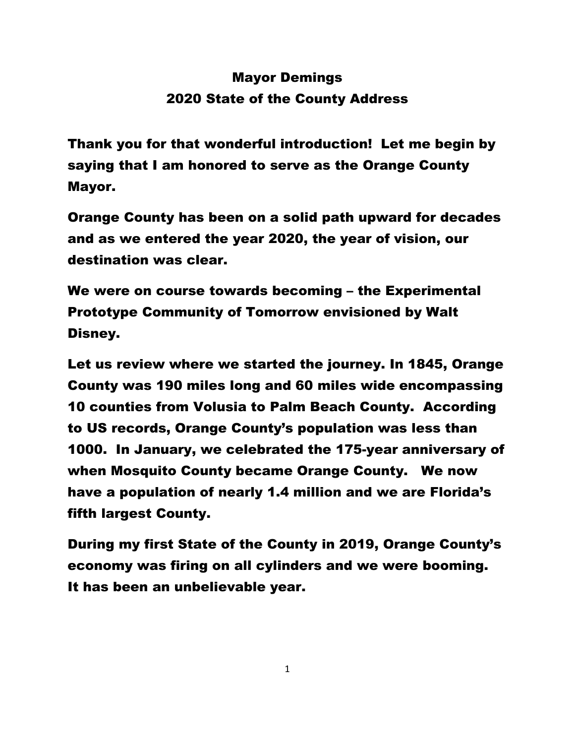## Mayor Demings 2020 State of the County Address

Thank you for that wonderful introduction! Let me begin by saying that I am honored to serve as the Orange County Mayor.

Orange County has been on a solid path upward for decades and as we entered the year 2020, the year of vision, our destination was clear.

We were on course towards becoming – the Experimental Prototype Community of Tomorrow envisioned by Walt Disney.

Let us review where we started the journey. In 1845, Orange County was 190 miles long and 60 miles wide encompassing 10 counties from Volusia to Palm Beach County. According to US records, Orange County's population was less than 1000. In January, we celebrated the 175-year anniversary of when Mosquito County became Orange County. We now have a population of nearly 1.4 million and we are Florida's fifth largest County.

During my first State of the County in 2019, Orange County's economy was firing on all cylinders and we were booming. It has been an unbelievable year.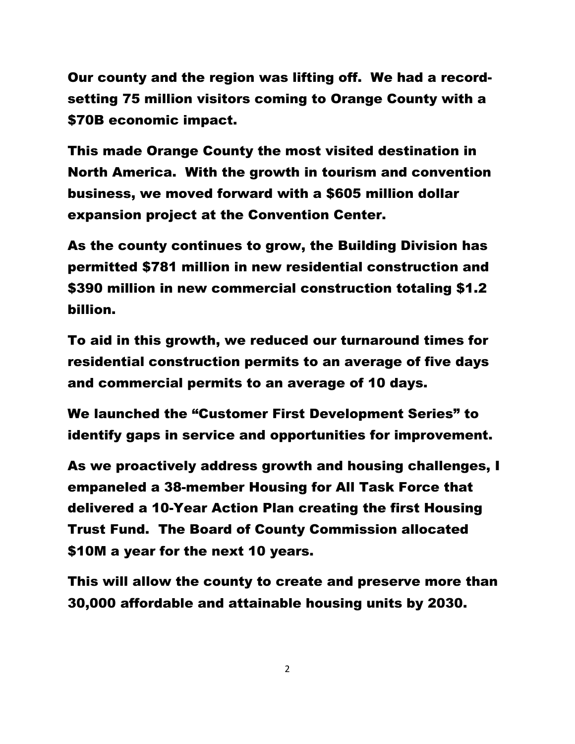Our county and the region was lifting off. We had a recordsetting 75 million visitors coming to Orange County with a \$70B economic impact.

This made Orange County the most visited destination in North America. With the growth in tourism and convention business, we moved forward with a \$605 million dollar expansion project at the Convention Center.

As the county continues to grow, the Building Division has permitted \$781 million in new residential construction and \$390 million in new commercial construction totaling \$1.2 billion.

To aid in this growth, we reduced our turnaround times for residential construction permits to an average of five days and commercial permits to an average of 10 days.

We launched the "Customer First Development Series" to identify gaps in service and opportunities for improvement.

As we proactively address growth and housing challenges, I empaneled a 38-member Housing for All Task Force that delivered a 10-Year Action Plan creating the first Housing Trust Fund. The Board of County Commission allocated \$10M a year for the next 10 years.

This will allow the county to create and preserve more than 30,000 affordable and attainable housing units by 2030.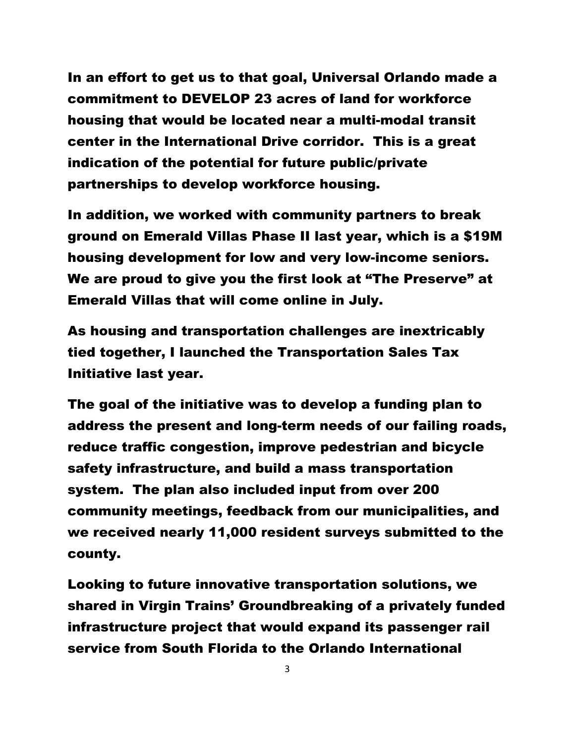In an effort to get us to that goal, Universal Orlando made a commitment to DEVELOP 23 acres of land for workforce housing that would be located near a multi-modal transit center in the International Drive corridor. This is a great indication of the potential for future public/private partnerships to develop workforce housing.

In addition, we worked with community partners to break ground on Emerald Villas Phase II last year, which is a \$19M housing development for low and very low-income seniors. We are proud to give you the first look at "The Preserve" at Emerald Villas that will come online in July.

As housing and transportation challenges are inextricably tied together, I launched the Transportation Sales Tax Initiative last year.

The goal of the initiative was to develop a funding plan to address the present and long-term needs of our failing roads, reduce traffic congestion, improve pedestrian and bicycle safety infrastructure, and build a mass transportation system. The plan also included input from over 200 community meetings, feedback from our municipalities, and we received nearly 11,000 resident surveys submitted to the county.

Looking to future innovative transportation solutions, we shared in Virgin Trains' Groundbreaking of a privately funded infrastructure project that would expand its passenger rail service from South Florida to the Orlando International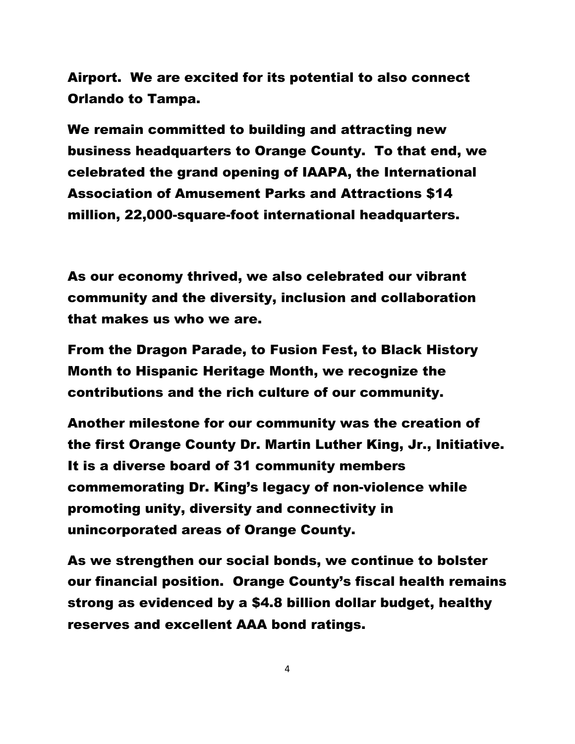Airport. We are excited for its potential to also connect Orlando to Tampa.

We remain committed to building and attracting new business headquarters to Orange County. To that end, we celebrated the grand opening of IAAPA, the International Association of Amusement Parks and Attractions \$14 million, 22,000-square-foot international headquarters.

As our economy thrived, we also celebrated our vibrant community and the diversity, inclusion and collaboration that makes us who we are.

From the Dragon Parade, to Fusion Fest, to Black History Month to Hispanic Heritage Month, we recognize the contributions and the rich culture of our community.

Another milestone for our community was the creation of the first Orange County Dr. Martin Luther King, Jr., Initiative. It is a diverse board of 31 community members commemorating Dr. King's legacy of non-violence while promoting unity, diversity and connectivity in unincorporated areas of Orange County.

As we strengthen our social bonds, we continue to bolster our financial position. Orange County's fiscal health remains strong as evidenced by a \$4.8 billion dollar budget, healthy reserves and excellent AAA bond ratings.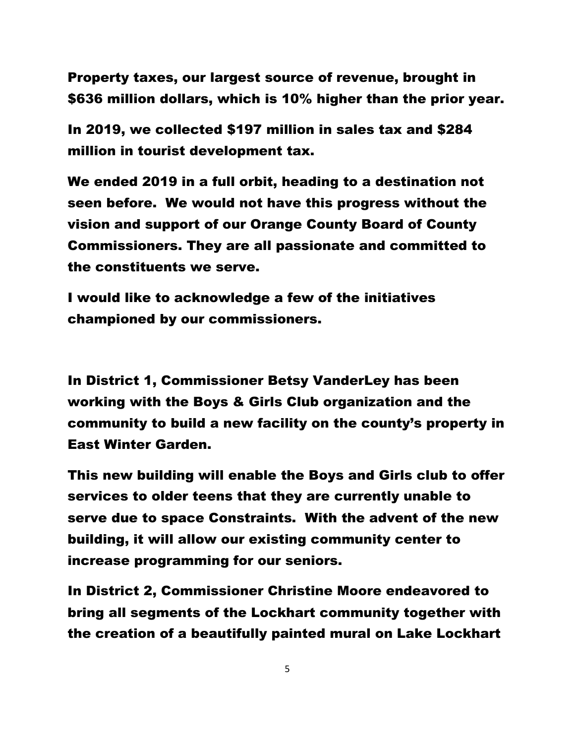Property taxes, our largest source of revenue, brought in \$636 million dollars, which is 10% higher than the prior year.

In 2019, we collected \$197 million in sales tax and \$284 million in tourist development tax.

We ended 2019 in a full orbit, heading to a destination not seen before. We would not have this progress without the vision and support of our Orange County Board of County Commissioners. They are all passionate and committed to the constituents we serve.

I would like to acknowledge a few of the initiatives championed by our commissioners.

In District 1, Commissioner Betsy VanderLey has been working with the Boys & Girls Club organization and the community to build a new facility on the county's property in East Winter Garden.

This new building will enable the Boys and Girls club to offer services to older teens that they are currently unable to serve due to space Constraints. With the advent of the new building, it will allow our existing community center to increase programming for our seniors.

In District 2, Commissioner Christine Moore endeavored to bring all segments of the Lockhart community together with the creation of a beautifully painted mural on Lake Lockhart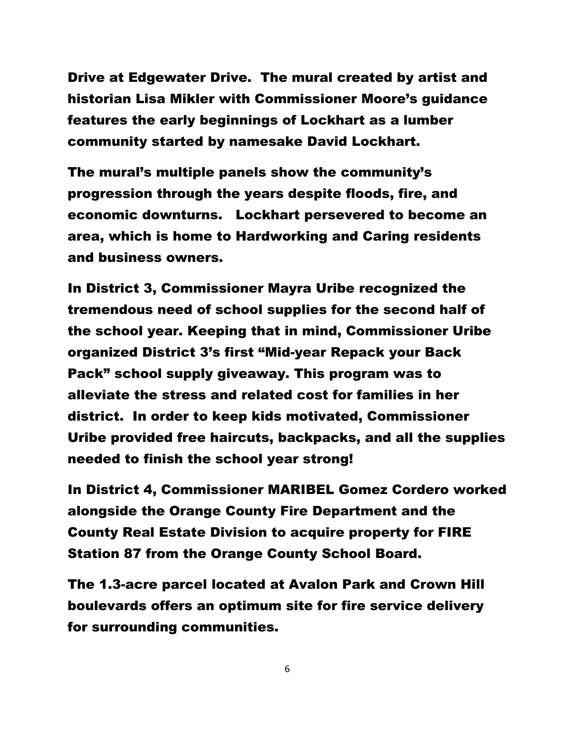Drive at Edgewater Drive. The mural created by artist and historian Lisa Mikler with Commissioner Moore's guidance features the early beginnings of Lockhart as a lumber community started by namesake David Lockhart.

The mural's multiple panels show the community's progression through the years despite floods, fire, and economic downturns. Lockhart persevered to become an area, which is home to Hardworking and Caring residents and business owners.

In District 3, Commissioner Mayra Uribe recognized the tremendous need of school supplies for the second half of the school year. Keeping that in mind, Commissioner Uribe organized District 3's first "Mid-year Repack your Back Pack" school supply giveaway. This program was to alleviate the stress and related cost for families in her district. In order to keep kids motivated, Commissioner Uribe provided free haircuts, backpacks, and all the supplies needed to finish the school year strong!

In District 4, Commissioner MARIBEL Gomez Cordero worked alongside the Orange County Fire Department and the County Real Estate Division to acquire property for FIRE Station 87 from the Orange County School Board.

The 1.3-acre parcel located at Avalon Park and Crown Hill boulevards offers an optimum site for fire service delivery for surrounding communities.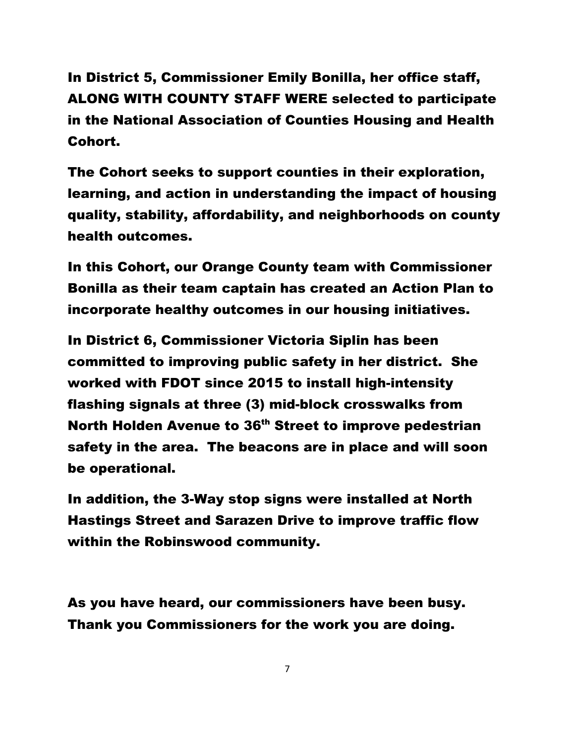In District 5, Commissioner Emily Bonilla, her office staff, ALONG WITH COUNTY STAFF WERE selected to participate in the National Association of Counties Housing and Health Cohort.

The Cohort seeks to support counties in their exploration, learning, and action in understanding the impact of housing quality, stability, affordability, and neighborhoods on county health outcomes.

In this Cohort, our Orange County team with Commissioner Bonilla as their team captain has created an Action Plan to incorporate healthy outcomes in our housing initiatives.

In District 6, Commissioner Victoria Siplin has been committed to improving public safety in her district. She worked with FDOT since 2015 to install high-intensity flashing signals at three (3) mid-block crosswalks from North Holden Avenue to 36<sup>th</sup> Street to improve pedestrian safety in the area. The beacons are in place and will soon be operational.

In addition, the 3-Way stop signs were installed at North Hastings Street and Sarazen Drive to improve traffic flow within the Robinswood community.

As you have heard, our commissioners have been busy. Thank you Commissioners for the work you are doing.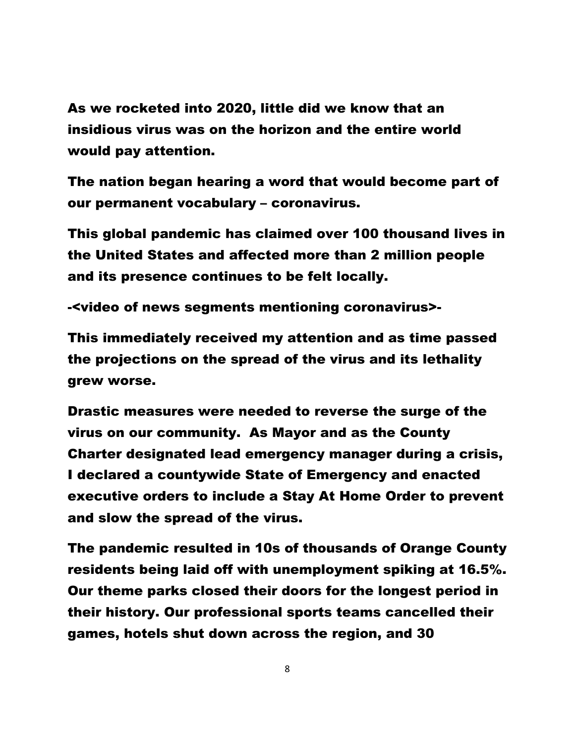As we rocketed into 2020, little did we know that an insidious virus was on the horizon and the entire world would pay attention.

The nation began hearing a word that would become part of our permanent vocabulary – coronavirus.

This global pandemic has claimed over 100 thousand lives in the United States and affected more than 2 million people and its presence continues to be felt locally.

-<video of news segments mentioning coronavirus>-

This immediately received my attention and as time passed the projections on the spread of the virus and its lethality grew worse.

Drastic measures were needed to reverse the surge of the virus on our community. As Mayor and as the County Charter designated lead emergency manager during a crisis, I declared a countywide State of Emergency and enacted executive orders to include a Stay At Home Order to prevent and slow the spread of the virus.

The pandemic resulted in 10s of thousands of Orange County residents being laid off with unemployment spiking at 16.5%. Our theme parks closed their doors for the longest period in their history. Our professional sports teams cancelled their games, hotels shut down across the region, and 30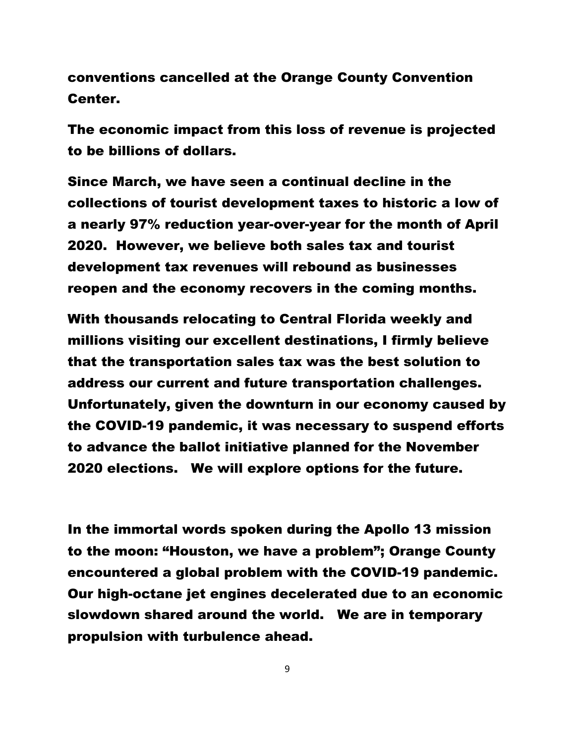conventions cancelled at the Orange County Convention Center.

The economic impact from this loss of revenue is projected to be billions of dollars.

Since March, we have seen a continual decline in the collections of tourist development taxes to historic a low of a nearly 97% reduction year-over-year for the month of April 2020. However, we believe both sales tax and tourist development tax revenues will rebound as businesses reopen and the economy recovers in the coming months.

With thousands relocating to Central Florida weekly and millions visiting our excellent destinations, I firmly believe that the transportation sales tax was the best solution to address our current and future transportation challenges. Unfortunately, given the downturn in our economy caused by the COVID-19 pandemic, it was necessary to suspend efforts to advance the ballot initiative planned for the November 2020 elections. We will explore options for the future.

In the immortal words spoken during the Apollo 13 mission to the moon: "Houston, we have a problem"; Orange County encountered a global problem with the COVID-19 pandemic. Our high-octane jet engines decelerated due to an economic slowdown shared around the world. We are in temporary propulsion with turbulence ahead.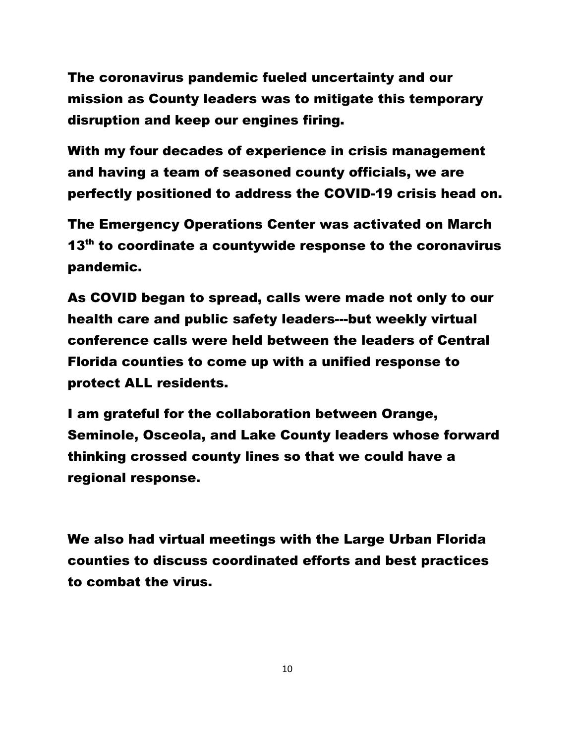The coronavirus pandemic fueled uncertainty and our mission as County leaders was to mitigate this temporary disruption and keep our engines firing.

With my four decades of experience in crisis management and having a team of seasoned county officials, we are perfectly positioned to address the COVID-19 crisis head on.

The Emergency Operations Center was activated on March 13<sup>th</sup> to coordinate a countywide response to the coronavirus pandemic.

As COVID began to spread, calls were made not only to our health care and public safety leaders---but weekly virtual conference calls were held between the leaders of Central Florida counties to come up with a unified response to protect ALL residents.

I am grateful for the collaboration between Orange, Seminole, Osceola, and Lake County leaders whose forward thinking crossed county lines so that we could have a regional response.

We also had virtual meetings with the Large Urban Florida counties to discuss coordinated efforts and best practices to combat the virus.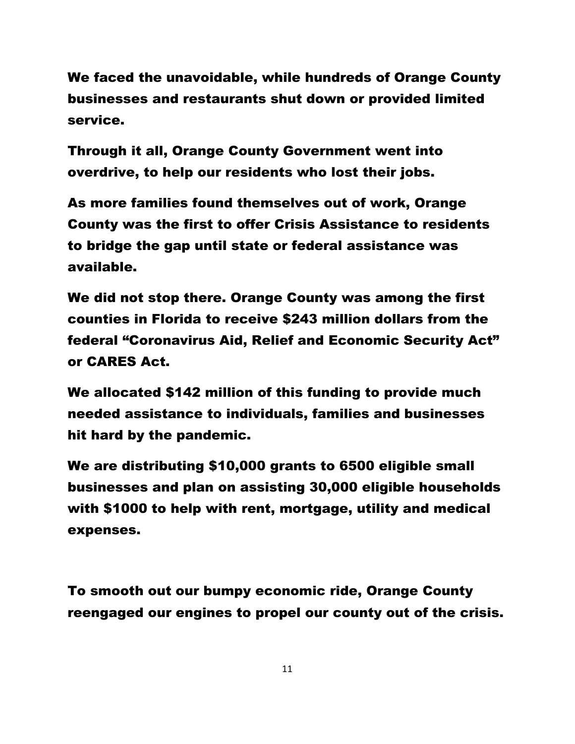We faced the unavoidable, while hundreds of Orange County businesses and restaurants shut down or provided limited service.

Through it all, Orange County Government went into overdrive, to help our residents who lost their jobs.

As more families found themselves out of work, Orange County was the first to offer Crisis Assistance to residents to bridge the gap until state or federal assistance was available.

We did not stop there. Orange County was among the first counties in Florida to receive \$243 million dollars from the federal "Coronavirus Aid, Relief and Economic Security Act" or CARES Act.

We allocated \$142 million of this funding to provide much needed assistance to individuals, families and businesses hit hard by the pandemic.

We are distributing \$10,000 grants to 6500 eligible small businesses and plan on assisting 30,000 eligible households with \$1000 to help with rent, mortgage, utility and medical expenses.

To smooth out our bumpy economic ride, Orange County reengaged our engines to propel our county out of the crisis.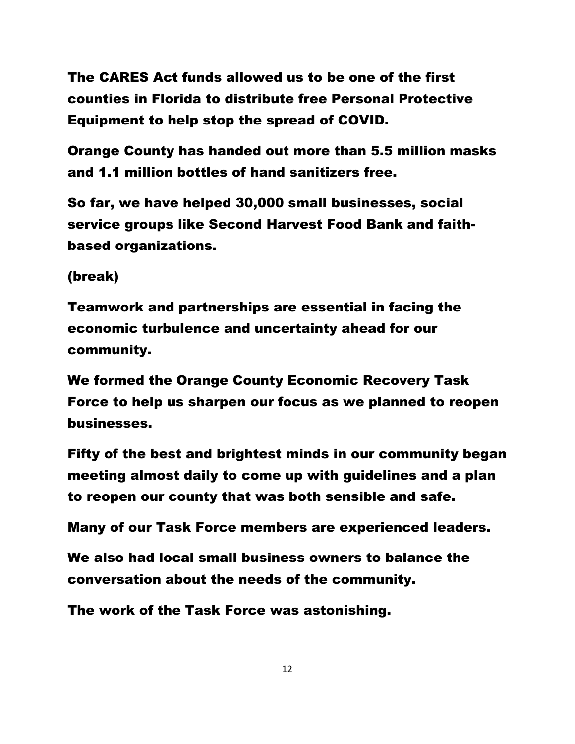The CARES Act funds allowed us to be one of the first counties in Florida to distribute free Personal Protective Equipment to help stop the spread of COVID.

Orange County has handed out more than 5.5 million masks and 1.1 million bottles of hand sanitizers free.

So far, we have helped 30,000 small businesses, social service groups like Second Harvest Food Bank and faithbased organizations.

(break)

Teamwork and partnerships are essential in facing the economic turbulence and uncertainty ahead for our community.

We formed the Orange County Economic Recovery Task Force to help us sharpen our focus as we planned to reopen businesses.

Fifty of the best and brightest minds in our community began meeting almost daily to come up with guidelines and a plan to reopen our county that was both sensible and safe.

Many of our Task Force members are experienced leaders.

We also had local small business owners to balance the conversation about the needs of the community.

The work of the Task Force was astonishing.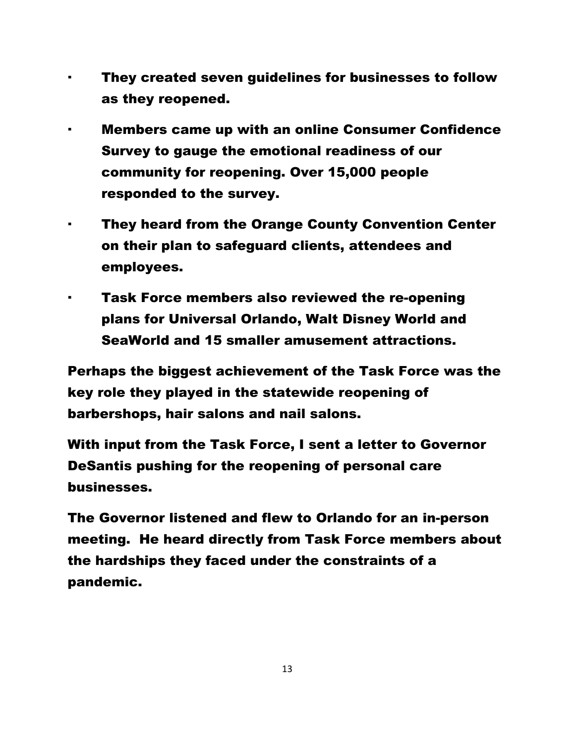- They created seven guidelines for businesses to follow as they reopened.
- Members came up with an online Consumer Confidence Survey to gauge the emotional readiness of our community for reopening. Over 15,000 people responded to the survey.
- · They heard from the Orange County Convention Center on their plan to safeguard clients, attendees and employees.
	- Task Force members also reviewed the re-opening plans for Universal Orlando, Walt Disney World and SeaWorld and 15 smaller amusement attractions.

Perhaps the biggest achievement of the Task Force was the key role they played in the statewide reopening of barbershops, hair salons and nail salons.

With input from the Task Force, I sent a letter to Governor DeSantis pushing for the reopening of personal care businesses.

The Governor listened and flew to Orlando for an in-person meeting. He heard directly from Task Force members about the hardships they faced under the constraints of a pandemic.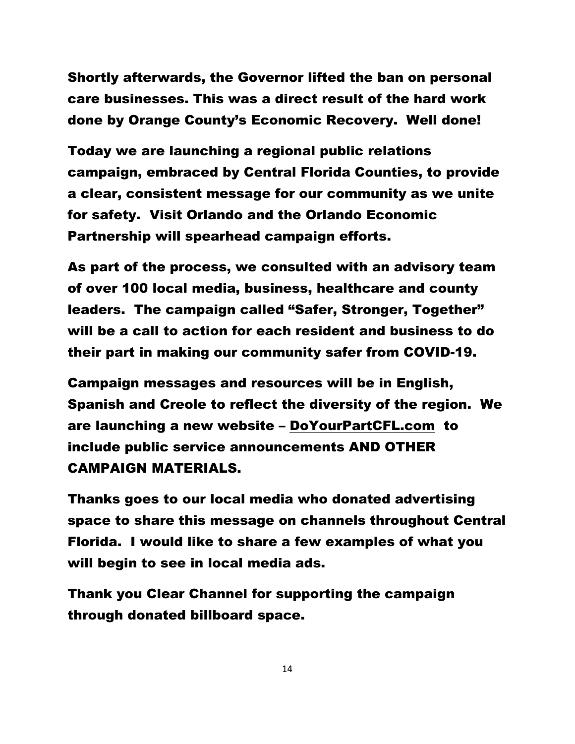Shortly afterwards, the Governor lifted the ban on personal care businesses. This was a direct result of the hard work done by Orange County's Economic Recovery. Well done!

Today we are launching a regional public relations campaign, embraced by Central Florida Counties, to provide a clear, consistent message for our community as we unite for safety. Visit Orlando and the Orlando Economic Partnership will spearhead campaign efforts.

As part of the process, we consulted with an advisory team of over 100 local media, business, healthcare and county leaders. The campaign called "Safer, Stronger, Together" will be a call to action for each resident and business to do their part in making our community safer from COVID-19.

Campaign messages and resources will be in English, Spanish and Creole to reflect the diversity of the region. We are launching a new website – [DoYourPartCFL.com](http://www.doyourpartorl.com/) to include public service announcements AND OTHER CAMPAIGN MATERIALS.

Thanks goes to our local media who donated advertising space to share this message on channels throughout Central Florida. I would like to share a few examples of what you will begin to see in local media ads.

Thank you Clear Channel for supporting the campaign through donated billboard space.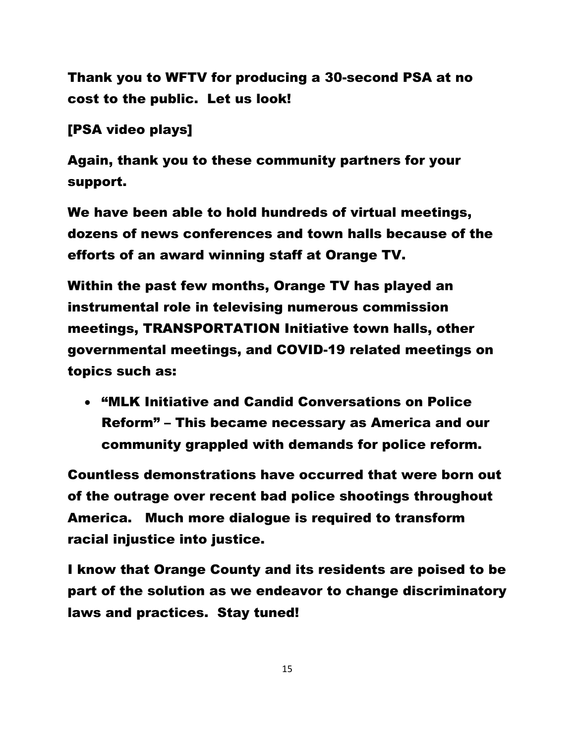Thank you to WFTV for producing a 30-second PSA at no cost to the public. Let us look!

[PSA video plays]

Again, thank you to these community partners for your support.

We have been able to hold hundreds of virtual meetings, dozens of news conferences and town halls because of the efforts of an award winning staff at Orange TV.

Within the past few months, Orange TV has played an instrumental role in televising numerous commission meetings, TRANSPORTATION Initiative town halls, other governmental meetings, and COVID-19 related meetings on topics such as:

• "MLK Initiative and Candid Conversations on Police Reform" – This became necessary as America and our community grappled with demands for police reform.

Countless demonstrations have occurred that were born out of the outrage over recent bad police shootings throughout America. Much more dialogue is required to transform racial injustice into justice.

I know that Orange County and its residents are poised to be part of the solution as we endeavor to change discriminatory laws and practices. Stay tuned!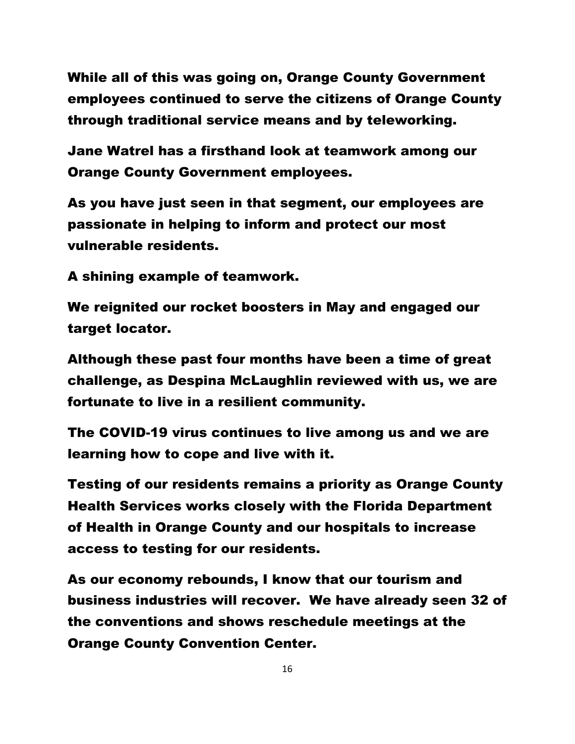While all of this was going on, Orange County Government employees continued to serve the citizens of Orange County through traditional service means and by teleworking.

Jane Watrel has a firsthand look at teamwork among our Orange County Government employees.

As you have just seen in that segment, our employees are passionate in helping to inform and protect our most vulnerable residents.

A shining example of teamwork.

We reignited our rocket boosters in May and engaged our target locator.

Although these past four months have been a time of great challenge, as Despina McLaughlin reviewed with us, we are fortunate to live in a resilient community.

The COVID-19 virus continues to live among us and we are learning how to cope and live with it.

Testing of our residents remains a priority as Orange County Health Services works closely with the Florida Department of Health in Orange County and our hospitals to increase access to testing for our residents.

As our economy rebounds, I know that our tourism and business industries will recover. We have already seen 32 of the conventions and shows reschedule meetings at the Orange County Convention Center.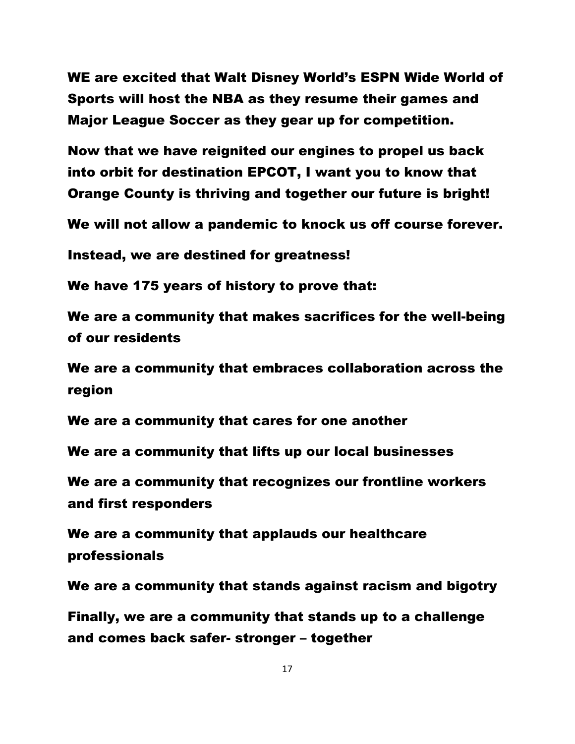WE are excited that Walt Disney World's ESPN Wide World of Sports will host the NBA as they resume their games and Major League Soccer as they gear up for competition.

Now that we have reignited our engines to propel us back into orbit for destination EPCOT, I want you to know that Orange County is thriving and together our future is bright!

We will not allow a pandemic to knock us off course forever.

Instead, we are destined for greatness!

We have 175 years of history to prove that:

We are a community that makes sacrifices for the well-being of our residents

We are a community that embraces collaboration across the region

We are a community that cares for one another

We are a community that lifts up our local businesses

We are a community that recognizes our frontline workers and first responders

We are a community that applauds our healthcare professionals

We are a community that stands against racism and bigotry

Finally, we are a community that stands up to a challenge and comes back safer- stronger – together